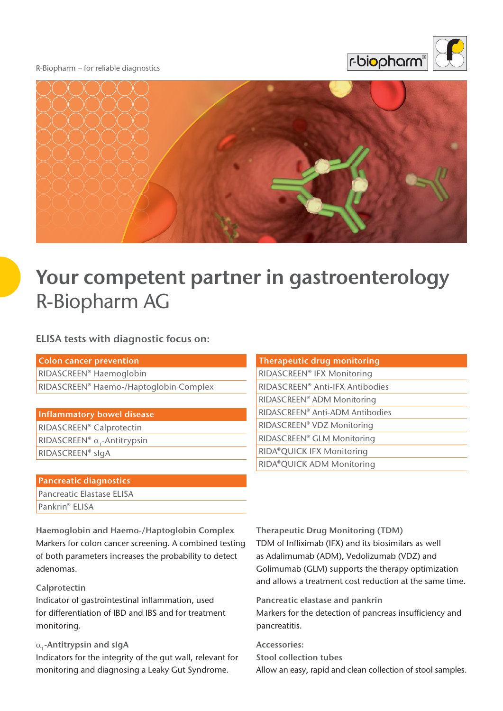#### R-Biopharm – for reliable diagnostics





# **Your competent partner in gastroenterology**  R-Biopharm AG

## **ELISA tests with diagnostic focus on:**

| <b>Colon cancer prevention</b>         |
|----------------------------------------|
| RIDASCREEN® Haemoglobin                |
| RIDASCREEN® Haemo-/Haptoglobin Complex |

#### **Inflammatory bowel disease**

RIDASCREEN® Calprotectin RIDASCREEN® α<sub>1</sub>-Antitrypsin RIDASCREEN® sIgA

#### **Pancreatic diagnostics**

Pancreatic Elastase ELISA Pankrin**®** ELISA

**Haemoglobin and Haemo-/Haptoglobin Complex** Markers for colon cancer screening. A combined testing of both parameters increases the probability to detect adenomas.

#### **Calprotectin**

Indicator of gastrointestinal inflammation, used for differentiation of IBD and IBS and for treatment monitoring.

## α**1 -Antitrypsin and sIgA**

Indicators for the integrity of the gut wall, relevant for monitoring and diagnosing a Leaky Gut Syndrome.

| <b>Therapeutic drug monitoring</b> |
|------------------------------------|
| RIDASCREEN® IFX Monitoring         |
| RIDASCREEN® Anti-IFX Antibodies    |
| RIDASCREEN® ADM Monitoring         |
| RIDASCREEN® Anti-ADM Antibodies    |
| RIDASCREEN® VDZ Monitoring         |
| RIDASCREEN® GLM Monitoring         |
| RIDA®QUICK IFX Monitoring          |
| RIDA®QUICK ADM Monitoring          |

**Therapeutic Drug Monitoring (TDM)** TDM of Infliximab (IFX) and its biosimilars as well as Adalimumab (ADM), Vedolizumab (VDZ) and Golimumab (GLM) supports the therapy optimization and allows a treatment cost reduction at the same time.

**Pancreatic elastase and pankrin** Markers for the detection of pancreas insufficiency and pancreatitis.

**Accessories: Stool collection tubes** Allow an easy, rapid and clean collection of stool samples.